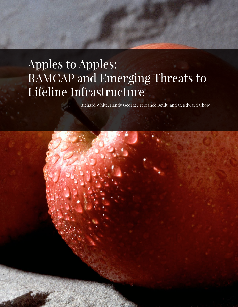# Apples to Apples: RAMCAP and Emerging Threats to Lifeline Infrastructure

Richard White, Randy George, Terrance Boult, and C. Edward Chow

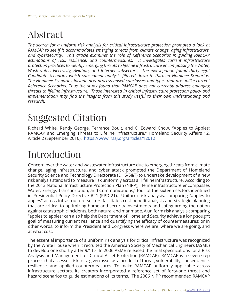## Abstract

*The search for a uniform risk analysis for critical infrastructure protection prompted a look at RAMCAP to see if it accommodates emerging threats from climate change, aging infrastructure, and cybersecurity. This article examines the role of Reference Scenarios in guiding RAMCAP estimations of risk, resilience, and countermeasures. It investigates current infrastructure protection practices to identify emerging threats to lifeline infrastructure encompassing the Water, Wastewater, Electricity, Aviation, and Internet subsectors. The investigation found thirty-eight Candidate Scenarios which subsequent analysis filtered down to thirteen Nominee Scenarios. The Nominee Scenarios include new process-based subclasses and types that are unlike current Reference Scenarios. Thus the study found that RAMCAP does not currently address emerging threats to lifeline infrastructure. Those interested in critical infrastructure protection policy and implementation may find the insights from this study useful to their own understanding and research.*

## Suggested Citation

Richard White, Randy George, Terrance Boult, and C. Edward Chow. "Apples to Apples: RAMCAP and Emerging Threats to Lifeline Infrastructure." Homeland Security Affairs 12, Article 2 (September 2016). <https://www.hsaj.org/articles/12012>

## Introduction

Concern over the water and wastewater infrastructure due to emerging threats from climate change, aging infrastructure, and cyber attack prompted the Department of Homeland Security Science and Technology Directorate (DHS/S&T) to undertake development of a new risk analysis standard to measure risk uniformly across all lifeline infrastructure. According to the 2013 National Infrastructure Protection Plan (NIPP), lifeline infrastructure encompasses Water, Energy, Transportation, and Communications,<sup>1</sup> four of the sixteen sectors identified in Presidential Policy Directive #21 (PPD-21). Uniform risk analysis, comparing "apples to apples" across infrastructure sectors facilitates cost-benefit analysis and strategic planning that are critical to optimizing homeland security investments and safeguarding the nation against catastrophic incidents, both natural and manmade. A uniform risk analysis comparing "apples to apples" can also help the Department of Homeland Security achieve a long-sought goal of measuring current resilience and quantifying the efficacy of countermeasures; or in other words, to inform the President and Congress where we are, where we are going, and at what cost.

The essential importance of a uniform risk analysis for critical infrastructure was recognized by the White House when it recruited the American Society of Mechanical Engineers (ASME) to develop one shortly after  $9/11<sup>2</sup>$  In 2006 ASME released the final specifications for a Risk Analysis and Management for Critical Asset Protection (RAMCAP). RAMCAP is a seven-step process that assesses risk for a given asset as a product of threat, vulnerability, consequence, resilience, and applied countermeasures. To make RAMCAP uniformly applicable across infrastructure sectors, its creators incorporated a reference set of forty-one threat and hazard scenarios to guide estimations of its terms. The 2006 NIPP recommended RAMCAP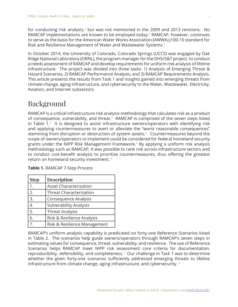for conducting risk analysis, $3$  but was not mentioned in the 2009 and 2013 revisions. No RAMCAP implementations are known to be employed today.<sup>4</sup> RAMCAP, however, continues to serve as the basis for the American Water Works Association (AWWA) J100-10 standard for Risk and Resilience Management of Water and Wastewater Systems.[5](#page-16-4)

In October 2014, the University of Colorado, Colorado Springs (UCCS) was engaged by Oak Ridge National Laboratory (ORNL), the program manager for the DHS/S&T project, to conduct a needs assessment of RAMCAP and develop requirements for uniform risk analysis of lifeline infrastructure. The project was divided into three tasks: 1) Analysis of Emerging Threat & Hazard Scenarios, 2) RAMCAP Performance Analysis, and 3) RAMCAP Requirements Analysis. This article presents the results from Task 1 and insights gained into emerging threats from climate change, aging infrastructure, and cybersecurity to the Water, Wastewater, Electricity, Aviation, and Internet subsectors.

### Background

RAMCAP is a critical infrastructure risk analysis methodology that calculates risk as a product of consequence, vulnerability, and threat. $6\overline{6}$  $6\overline{6}$  RAMCAP is comprised of the seven steps listed in Table  $1.7$  $1.7$  It is designed to assist infrastructure owners/operators with identifying risk and applying countermeasures to avert or alleviate the "worst reasonable consequences" stemming from disruption or destruction of system assets.<sup>[8](#page-16-7)</sup> Countermeasures beyond the scope of owners/operators to implement could be considered for federal homeland security grants under the NIPP Risk Management Framework.<sup>[9](#page-16-8)</sup> By applying a uniform risk analysis methodology such as RAMCAP, it was possible to rank risk across infrastructure sectors and to conduct cost-benefit analysis to prioritize countermeasures, thus offering the greatest return on homeland security investment.[10](#page-16-9)

| <b>Step</b>      | <b>Description</b>             |
|------------------|--------------------------------|
|                  | <b>Asset Characterization</b>  |
| 2.               | <b>Threat Characterization</b> |
| $\overline{3}$ . | <b>Consequence Analysis</b>    |
| 4.               | <b>Vulnerability Analysis</b>  |
| 5.               | <b>Threat Analysis</b>         |
| $\overline{6}$ . | Risk & Resilience Analysis     |
| $\overline{7}$ . | Risk & Resilience Management   |

**Table 1.** RAMCAP 7-Step Process

RAMCAP's uniform analysis capability is predicated on forty-one Reference Scenarios listed in Table 2. The scenarios help guide owners/operators through RAMCAP's seven steps in estimating values for consequence, threat, vulnerability, and resilience. The use of Reference Scenarios helps RAMCAP meet NIPP risk assessment core criteria for documentation, reproducibility, defensibility, and completeness.[11](#page-16-10) Our challenge in Task 1 was to determine whether the given forty-one scenarios sufficiently addressed emerging threats to lifeline infrastructure from climate change, aging infrastructure, and cybersecurity.<sup>[12](#page-16-11)</sup>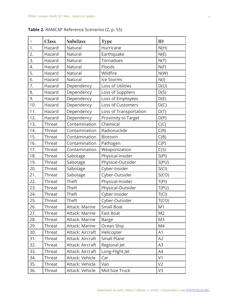|  |  |  | <b>Table 2.</b> RAMCAP Reference Scenarios (2, p. 55) |  |  |  |  |  |
|--|--|--|-------------------------------------------------------|--|--|--|--|--|
|--|--|--|-------------------------------------------------------|--|--|--|--|--|

| #   | <b>Class</b> | <b>Subclass</b>  | <b>Type</b>            | ID             |
|-----|--------------|------------------|------------------------|----------------|
| 1.  | Hazard       | Natural          | Hurricane              | N(H)           |
| 2.  | Hazard       | Natural          | Earthquake             | N(E)           |
| 3.  | Hazard       | Natural          | Tornadoes              | N(T)           |
| 4.  | Hazard       | Natural          | Floods                 | N(F)           |
| 5.  | Hazard       | Natural          | Wildfire               | N(W)           |
| 6.  | Hazard       | Natural          | Ice Storms             | N(I)           |
| 7.  | Hazard       | Dependency       | Loss of Utilities      | D(U)           |
| 8.  | Hazard       | Dependency       | Loss of Suppliers      | D(S)           |
| 9.  | Hazard       | Dependency       | Loss of Employees      | D(E)           |
| 10. | Hazard       | Dependency       | Loss of Customers      | D(C)           |
| 11. | Hazard       | Dependency       | Loss of Transportation | D(T)           |
| 12. | Hazard       | Dependency       | Proximity to Target    | D(P)           |
| 13. | Threat       | Contamination    | Chemical               | C(C)           |
| 14. | Threat       | Contamination    | Radionuclide           | C(R)           |
| 15. | Threat       | Contamination    | Biotoxin               | C(B)           |
| 16. | Threat       | Contamination    | Pathogen               | C(P)           |
| 17. | Threat       | Contamination    | Weaponization          | C(S)           |
| 18. | Threat       | Sabotage         | Physical-Insider       | S(PI)          |
| 19. | Threat       | Sabotage         | Physical-Outsider      | S(PU)          |
| 20. | Threat       | Sabotage         | Cyber-Insider          | S(Cl)          |
| 21. | Threat       | Sabotage         | Cyber-Outsider         | S(CO)          |
| 22. | Threat       | Theft            | Physical-Insider       | T(PI)          |
| 23. | Threat       | Theft            | Physical-Outsider      | T(PU)          |
| 24. | Threat       | Theft            | Cyber-Insider          | T(Cl)          |
| 25. | Threat       | Theft            | Cyber-Outsider         | T(CO)          |
| 26. | Threat       | Attack: Marine   | <b>Small Boat</b>      | M1             |
| 27. | Threat       | Attack: Marine   | <b>Fast Boat</b>       | M <sub>2</sub> |
| 28. | Threat       | Attack: Marine   | <b>Barge</b>           | M <sub>3</sub> |
| 29. | Threat       | Attack: Marine   | Ocean Ship             | M4             |
| 30. | Threat       | Attack: Aircraft | Helicopter             | A1             |
| 31. | Threat       | Attack: Aircraft | Small Plane            | A2             |
| 32. | Threat       | Attack: Aircraft | Regional Jet           | A <sub>3</sub> |
| 33. | Threat       | Attack: Aircraft | Long-Flight Jet        | A4             |
| 34. | Threat       | Attack: Vehicle  | Car                    | V <sub>1</sub> |
| 35. | Threat       | Attack: Vehicle  | Van                    | V <sub>2</sub> |
| 36. | Threat       | Attack: Vehicle  | Mid-Size Truck         | V3             |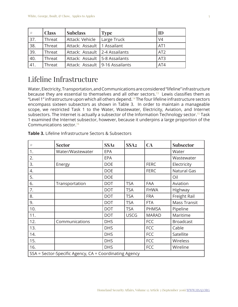| #   | <b>Class</b> | <b>Subclass</b>                   | <b>Type</b>    | ID              |
|-----|--------------|-----------------------------------|----------------|-----------------|
| 37. | Threat       | Attack: Vehicle                   | Large Truck    | V <sub>4</sub>  |
| 38. | Threat       | Attack: Assault                   | 1 Assailant    | AT <sub>1</sub> |
| 39. | Threat       | Attack: Assault   2-4 Assailants  |                | AT <sub>2</sub> |
| 40. | Threat       | Attack: Assault                   | 5-8 Assailants | AT <sub>3</sub> |
| 41. | Threat       | Attack: Assault   9-16 Assailants |                | AT4             |

### Lifeline Infrastructure

Water, Electricity, Transportation, and Communications are considered "lifeline" infrastructure because they are essential to themselves and all other sectors.<sup>13</sup> Lewis classifies them as "Level 1" infrastructure upon which all others depend.[14](#page-16-13) The four lifeline infrastructure sectors encompass sixteen subsectors as shown in Table 3. In order to maintain a manageable scope, we restricted Task 1 to the Water, Wastewater, Electricity, Aviation, and Internet subsectors. The Internet is actually a subsector of the Information Technology sector.<sup>15</sup> Task 1 examined the Internet subsector, however, because it underpins a large proportion of the Communications sector.[16](#page-16-15)

| #   | <b>Sector</b>                                          | SSA <sub>1</sub> | SSA <sub>2</sub> | $CA$         | <b>Subsector</b>    |  |
|-----|--------------------------------------------------------|------------------|------------------|--------------|---------------------|--|
| 1.  | Water/Wastewater                                       | EPA              |                  |              | Water               |  |
| 2.  |                                                        | EPA              |                  |              | Wastewater          |  |
| 3.  | Energy                                                 | <b>DOE</b>       |                  | <b>FERC</b>  | Electricity         |  |
| 4.  |                                                        | <b>DOE</b>       |                  | <b>FERC</b>  | Natural Gas         |  |
| 5.  |                                                        | <b>DOE</b>       |                  |              | Oil                 |  |
| 6.  | Transportation                                         | <b>DOT</b>       | <b>TSA</b>       | FAA          | Aviation            |  |
| 7.  |                                                        | <b>DOT</b>       | <b>TSA</b>       | <b>FHWA</b>  | Highway             |  |
| 8.  |                                                        | <b>DOT</b>       | <b>TSA</b>       | <b>FRA</b>   | Freight Rail        |  |
| 9.  |                                                        | <b>DOT</b>       | <b>TSA</b>       | <b>FTA</b>   | <b>Mass Transit</b> |  |
| 10. |                                                        | <b>DOT</b>       | <b>TSA</b>       | <b>PHMSA</b> | Pipeline            |  |
| 11. |                                                        | <b>DOT</b>       | <b>USCG</b>      | <b>MARAD</b> | Maritime            |  |
| 12. | Communications                                         | <b>DHS</b>       |                  | <b>FCC</b>   | <b>Broadcast</b>    |  |
| 13. |                                                        | <b>DHS</b>       |                  | <b>FCC</b>   | Cable               |  |
| 14. |                                                        | <b>DHS</b>       |                  | <b>FCC</b>   | Satellite           |  |
| 15. |                                                        | <b>DHS</b>       |                  | <b>FCC</b>   | Wireless            |  |
| 16. |                                                        | <b>DHS</b>       |                  | <b>FCC</b>   | Wireline            |  |
|     | SSA = Sector-Specific Agency, CA = Coordinating Agency |                  |                  |              |                     |  |

**Table 3.** Lifeline Infrastructure Sectors & Subsectors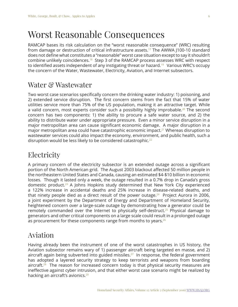## Worst Reasonable Consequences

RAMCAP bases its risk calculation on the "worst reasonable consequence" (WRC) resulting from damage or destruction of critical infrastructure assets.<sup>17</sup> The AWWA J100-10 standard does not define what constitutes a "reasonable" worst case situation except to say it shouldn't combine unlikely coincidences.[18](#page-16-17) Step 3 of the RAMCAP process assesses WRC with respect to identified assets independent of any instigating threat or hazard.<sup>19</sup> Various WRC's occupy the concern of the Water, Wastewater, Electricity, Aviation, and Internet subsectors.

### Water & Wastewater

Two worst case scenarios specifically concern the drinking water industry: 1) poisoning, and 2) extended service disruption. The first concern stems from the fact that 15% of water utilities service more than 75% of the US population, making it an attractive target. While a valid concern, most experts consider such a possibility highly improbable.<sup>[20](#page-16-19)</sup> The second concern has two components: 1) the ability to procure a safe water source, and 2) the ability to distribute water under appropriate pressure. Even a minor service disruption in a major metropolitan area can cause significant economic damage. A major disruption in a major metropolitan area could have catastrophic economic impact.<sup>[21](#page-16-20)</sup> Whereas disruption to wastewater services could also impact the economy, environment, and public health, such a disruption would be less likely to be considered catastrophic.<sup>[22](#page-16-21)</sup>

### Electricity

A primary concern of the electricity subsector is an extended outage across a significant portion of the North American grid. The August 2003 blackout affected 50 million people in the northeastern United States and Canada, causing an estimated \$4-\$10 billion in economic losses. Though it lasted only a week, the outage resulted in a 0.7% drop in Canada's gross domestic product.[23](#page-16-22) A Johns Hopkins study determined that New York City experienced a 122% increase in accidental deaths and 25% increase in disease-related deaths, and that ninety people died as a direct result of the power outage.<sup>[24](#page-16-23)</sup> Project Aurora in 2006, a joint experiment by the Department of Energy and Department of Homeland Security, heightened concern over a large-scale outage by demonstrating how a generator could be remotely commanded over the Internet to physically self-destruct.<sup>[25](#page-17-0)</sup> Physical damage to generators and other critical components on a large scale could result in a prolonged outage as procurement for these components range from months to years.<sup>[26](#page-17-1)</sup>

### Aviation

Having already been the instrument of one of the worst catastrophes in US history, the Aviation subsector remains wary of 1) passenger aircraft being targeted en masse, and 2) aircraft again being subverted into guided missiles.<sup>27</sup> In response, the federal government has adopted a layered security strategy to keep terrorists and weapons from boarding aircraft.<sup>[28](#page-17-3)</sup> The reason for increased concern today is that physical security measures are ineffective against cyber intrusion, and that either worst case scenario might be realized by hacking an aircraft's avionics.<sup>[29](#page-17-4)</sup>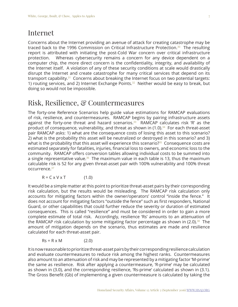### Internet

Concerns about the Internet providing an avenue of attack for creating catastrophe may be traced back to the 1996 Commission on Critical Infrastructure Protection.<sup>[30](#page-17-5)</sup> The resulting report is attributed with initiating the post-Cold War concern over critical infrastructure protection. Whereas cybersecurity remains a concern for any device dependent on a computer chip, the more direct concern is the confidentiality, integrity, and availability of the Internet itself. A violation of any of these security conditions at scale would drastically disrupt the Internet and create catastrophe for many critical services that depend on its transport capability. $31$  Concerns about breaking the Internet focus on two potential targets: 1) routing services, and 2) Internet Exchange Points.<sup>[32](#page-17-7)</sup> Neither would be easy to break, but doing so would not be impossible.

### Risk, Resilience, & Countermeasures

The forty-one Reference Scenarios help guide value estimations for RAMCAP evaluations of risk, resilience, and countermeasures. RAMCAP begins by pairing infrastructure assets against the forty-one threat and hazard scenarios. $33$  RAMCAP calculates risk 'R' as the product of consequence, vulnerability, and threat as shown in  $(1.0)$ .<sup>[34](#page-17-9)</sup> For each threat-asset pair RAMCAP asks: 1) what are the consequence costs of losing this asset to this scenario? 2) what is the probability this asset will be neutralized or destroyed in this scenario? and 3) what is the probability that this asset will experience this scenario? $35$  Consequence costs are estimated separately for fatalities, injuries, financial loss to owners, and economic loss to the community. RAMCAP offers conversion tables allowing individual costs to be summed into a single representative value.<sup>[36](#page-17-11)</sup> The maximum value in each table is 13, thus the maximum calculable risk is 52 for any given threat-asset pair with 100% vulnerability and 100% threat occurrence.[37](#page-17-12)

 $R = C \times V \times T$  (1.0)

It would be a simple matter at this point to prioritize threat-asset pairs by their corresponding risk calculation, but the results would be misleading. The RAMCAP risk calculation only accounts for mitigating factors within the owner/operators' control "inside the fence." It does not account for mitigating factors "outside the fence" such as first responders, National Guard, or other capabilities that could further reduce the severity or duration of estimated consequences. This is called "resilience" and must be considered in order to gain a more complete estimate of total risk. Accordingly, resilience 'Rs' amounts to an attenuation of the RAMCAP risk calculation by some mitigating factor percentage as shown in  $(2.0).^{38}$  $(2.0).^{38}$  $(2.0).^{38}$  The amount of mitigation depends on the scenario, thus estimates are made and resilience calculated for each threat-asset pair.

 $Rs = R \times M$  (2.0)

It is now reasonable to prioritize threat-asset pairs by their corresponding resilience calculation and evaluate countermeasures to reduce risk among the highest ranks. Countermeasures also amount to an attenuation of risk and may be represented by a mitigating factor 'M-prime' the same as resilience. Risk after applying a countermeasure, 'R-prime' may be calculated as shown in (3.0), and the corresponding resilience, 'Rs-prime' calculated as shown in (3.1). The Gross Benefit (Gb) of implementing a given countermeasure is calculated by taking the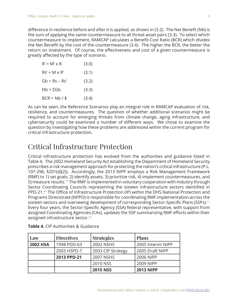difference in resilience before and after it is applied, as shown in (3.2). The Net Benefit (Nb) is the sum of applying the same countermeasure to all threat-asset pairs (3.3). To select which countermeasure to implement, RAMCAP calculates a Benefit-Cost Ratio (BCR) which divides the Net Benefit by the cost of the countermeasure (3.4). The higher the BCR, the better the return on investment. Of course, the effectiveness and cost of a given countermeasure is greatly affected by the type of scenario.

| $R' = M' \times R$  | (3.0) |
|---------------------|-------|
| $Rs' = M \times R'$ | (3.1) |
| $Gb = Rs - Rs'$     | (3.2) |
| $Nh = \Sigma Gh$    | (3.3) |
| $BCR = Nh / $$      | (3.4) |

As can be seen, the Reference Scenarios play an integral role in RAMCAP evaluation of risk, resilience, and countermeasures. The question of whether additional scenarios might be required to account for emerging threats from climate change, aging infrastructure, and cybersecurity could be examined a number of different ways. We chose to examine the question by investigating how these problems are addressed within the current program for critical infrastructure protection.

### Critical Infrastructure Protection

Critical infrastructure protection has evolved from the authorities and guidance listed in Table 4. The 2002 Homeland Security Act establishing the Department of Homeland Security prescribes a risk management approach for protecting the nation's critical infrastructure (P.L. 107-296, §201(d)(2)). Accordingly, the 2013 NIPP employs a Risk Management Framework (RMF) to 1) set goals, 2) identify assets, 3) prioritize risk, 4) implement countermeasures, and 5) measure results[.39](#page-17-14) The RMF is implemented in voluntary cooperation with industry through Sector Coordinating Councils representing the sixteen infrastructure sectors identified in PPD-21[.40](#page-17-15) The Office of Infrastructure Protection (IP) within the DHS National Protection and Programs Directorate (NPPD) is responsible for coordinating RMF implementation across the sixteen sectors and overseeing development of corresponding Sector-Specific Plans (SSPs).<sup>[41](#page-17-16)</sup> Every four years, the Sector-Specific Agency (SSA) federal representative, with support from assigned Coordinating Agencies (CAs), updates the SSP summarizing RMF efforts within their assigned infrastructure sector.<sup>[42](#page-17-17)</sup>

| Law                            | <b>Directives</b> | <b>Strategies</b> | <b>Plans</b>      |
|--------------------------------|-------------------|-------------------|-------------------|
| <b>2002 HSA</b><br>1998 PDD-63 |                   | 2002 NSHS         | 2005 Interim NIPP |
|                                | 2003 HSPD-7       | 2003 CIP Strategy | 2005 Draft NIPP   |
|                                | 2013 PPD-21       | 2007 NSHS         | 2006 NIPP         |
|                                |                   | 2010 NSS          | 2009 NIPP         |
|                                |                   | <b>2015 NSS</b>   | <b>2013 NIPP</b>  |

| Table 4. CIP Authorities & Guidance |  |
|-------------------------------------|--|
|-------------------------------------|--|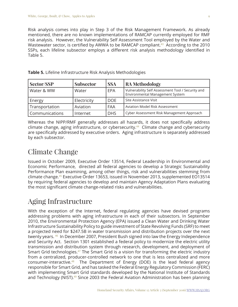Risk analysis comes into play in Step 3 of the Risk Management Framework. As already mentioned, there are no known implementations of RAMCAP currently employed for RMF risk analysis. However, the Vulnerability Self Assessment Tool employed by the Water and Wastewater sector, is certified by AWWA to be RAMCAP compliant.<sup>[43](#page-17-18)</sup> According to the 2010 SSPs, each lifeline subsector employs a different risk analysis methodology identified in Table 5.

| Sector/SSP     | <b>Subsector</b> | <b>SSA</b> | RA Methodology                                                                       |
|----------------|------------------|------------|--------------------------------------------------------------------------------------|
| Water & WW     | Water            | EPA        | Vulnerability Self Assessment Tool / Security and<br>Environmental Management System |
| Energy         | Electricity      | <b>DOE</b> | Site Assistance Visit                                                                |
| Transportation | Aviation         | FAA        | <b>Aviation Model Risk Assessment</b>                                                |
| Communications | Internet         | <b>DHS</b> | Cyber Assessment Risk Management Approach                                            |

**Table 5.** Lifeline Infrastructure Risk Analysis Methodologies

Whereas the NIPP/RMF generally addresses all hazards, it does not specifically address climate change, aging infrastructure, or cybersecurity.<sup>[44](#page-17-19)</sup> Climate change and cybersecurity are specifically addressed by executive orders. Aging infrastructure is separately addressed by each subsector.

### Climate Change

Issued in October 2009, Executive Order 13514, Federal Leadership in Environmental and Economic Performance, directed all federal agencies to develop a Strategic Sustainability Performance Plan examining, among other things, risk and vulnerabilities stemming from climate change.[45](#page-17-20) Executive Order 13653, issued in November 2013, supplemented EO13514 by requiring federal agencies to develop and maintain Agency Adaptation Plans evaluating the most significant climate change-related risks and vulnerabilities.

### Aging Infrastructure

With the exception of the Internet, federal regulating agencies have devised programs addressing problems with aging infrastructure in each of their subsectors. In September 2010, the Environmental Protection Agency (EPA) issued a Clean Water and Drinking Water Infrastructure Sustainability Policy to guide investment of State Revolving Funds (SRF) to meet a projected need for \$247.5B in water transmission and distribution projects over the next twenty years. [46](#page-17-21) In December 2007, President Bush signed into law the Energy Independence and Security Act. Section 1301 established a federal policy to modernize the electric utility transmission and distribution system through research, development, and deployment of Smart Grid technologies.<sup>[47](#page-17-22)</sup> The Smart Grid is a vision for transforming the electric industry from a centralized, producer-controlled network to one that is less centralized and more consumer-interactive.[48](#page-17-23) The Department of Energy (DOE) is the lead federal agency responsible for Smart Grid, and has tasked the Federal Energy Regulatory Commission (FERC) with implementing Smart Grid standards developed by the National Institute of Standards and Technology (NIST).<sup>[49](#page-17-24)</sup> Since 2003 the Federal Aviation Administration has been planning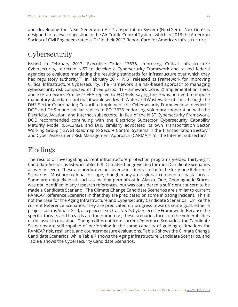and developing the Next Generation Air Transportation System (NextGen). NextGen<sup>50</sup> is designed to relieve congestion in the Air Traffic Control System, which in 2013 the American Society of Civil Engineers rated a 'D+' in their 2013 Report Card for America's Infrastructure.<sup>[51](#page-18-1)</sup>

### **Cybersecurity**

Issued in February 2013, Executive Order 13636, Improving Critical Infrastructure Cybersecurity, directed NIST to develop a Cybersecurity Framework and tasked federal agencies to evaluate mandating the resulting standards for infrastructure over which they had regulatory authority.<sup>52</sup> In February 2014, NIST released its Framework for Improving Critical Infrastructure Cybersecurity. The Framework is a risk-based approach to managing cybersecurity risk composed of three parts: 1) Framework Core, 2) Implementation Tiers, and 3) Framework Profiles.<sup>[53](#page-18-3)</sup> EPA replied to EO13636 saying there was no need to impose mandatory standards, but that it would work with Water and Wastewater utilities through the DHS Sector Coordinating Council to implement the Cybersecurity Framework as needed.<sup>[54](#page-18-4)</sup> DOE and DHS made similar replies to EO13636 endorsing voluntary cooperation with the Electricity, Aviation, and Internet subsectors. In lieu of the NIST Cybersecurity Framework, DOE recommended continuing with the Electricity Subsector Cybersecurity Capability Maturity Model (ES-C2M2), and DHS similarly advocated its own Transportation Sector Working Group (TSWG) Roadmap to Secure Control Systems in the Transportation Sector,<sup>[55](#page-18-5)</sup> and Cyber Assessment Risk Management Approach (CARMA)<sup>56</sup> for the Internet subsector.<sup>[57](#page-18-7)</sup>

### Findings

The results of investigating current infrastructure protection programs yielded thirty-eight Candidate Scenarios listed in tables 6-8. Climate Change yielded the most Candidate Scenarios at twenty-seven. These are predicated on adverse incidents similar to the forty-one Reference Scenarios. Most are national in scope, though many are regional, confined to coastal areas. Some are uniquely local, such as melting permafrost in Alaska. One, Geomagnetic Storm, was not identified in any research references, but was considered a sufficient concern to be made a Candidate Scenario. The Climate Change Candidate Scenarios are similar to current RAMCAP Reference Scenarios in that they are predicated on some initiating incident. This is not the case for the Aging Infrastructure and Cybersecurity Candidate Scenarios. Unlike the current Reference Scenarios, they are predicated on progress towards some goal, either a project such as Smart Grid, or a process such as NIST's Cybersecurity Framework. Because the specific threats and hazards are too numerous, these scenarios focus on the vulnerabilities of the asset in question. Though different from current Reference Scenarios, the Candidate Scenarios are still capable of performing in the same capacity of guiding estimations for RAMCAP risk, resilience, and countermeasure evaluations. Table 6 shows the Climate Change Candidate Scenarios, while Table 7 shows the Aging Infrastructure Candidate Scenarios, and Table 8 shows the Cybersecurity Candidate Scenarios.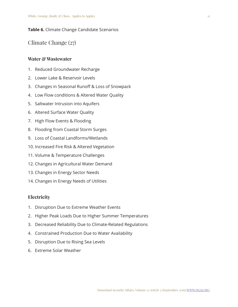#### **Table 6.** Climate Change Candidate Scenarios

Climate Change (27)

#### **Water & Wastewater**

- 1. Reduced Groundwater Recharge
- 2. Lower Lake & Reservoir Levels
- 3. Changes in Seasonal Runoff & Loss of Snowpack
- 4. Low Flow conditions & Altered Water Quality
- 5. Saltwater Intrusion into Aquifers
- 6. Altered Surface Water Quality
- 7. High Flow Events & Flooding
- 8. Flooding from Coastal Storm Surges
- 9. Loss of Coastal Landforms/Wetlands
- 10. Increased Fire Risk & Altered Vegetation
- 11. Volume & Temperature Challenges
- 12. Changes in Agricultural Water Demand
- 13. Changes in Energy Sector Needs
- 14. Changes in Energy Needs of Utilities

#### **Electricity**

- 1. Disruption Due to Extreme Weather Events
- 2. Higher Peak Loads Due to Higher Summer Temperatures
- 3. Decreased Reliability Due to Climate-Related Regulations
- 4. Constrained Production Due to Water Availability
- 5. Disruption Due to Rising Sea Levels
- 6. Extreme Solar Weather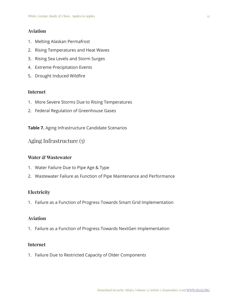#### **Aviation**

- 1. Melting Alaskan Permafrost
- 2. Rising Temperatures and Heat Waves
- 3. Rising Sea Levels and Storm Surges
- 4. Extreme Precipitation Events
- 5. Drought Induced Wildfire

#### **Internet**

- 1. More Severe Storms Due to Rising Temperatures
- 2. Federal Regulation of Greenhouse Gases

**Table 7.** Aging Infrastructure Candidate Scenarios

Aging Infrastructure (5)

#### **Water & Wastewater**

- 1. Water Failure Due to Pipe Age & Type
- 2. Wastewater Failure as Function of Pipe Maintenance and Performance

#### **Electricity**

1. Failure as a Function of Progress Towards Smart Grid Implementation

#### **Aviation**

1. Failure as a Function of Progress Towards NextGen Implementation

#### **Internet**

1. Failure Due to Restricted Capacity of Older Components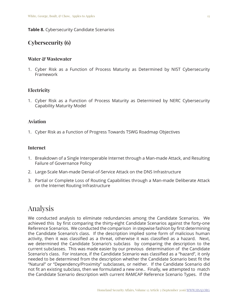#### **Table 8.** Cybersecurity Candidate Scenarios

#### **Cybersecurity (6)**

#### **Water & Wastewater**

1. Cyber Risk as a Function of Process Maturity as Determined by NIST Cybersecurity Framework

#### **Electricity**

1. Cyber Risk as a Function of Process Maturity as Determined by NERC Cybersecurity Capability Maturity Model

#### **Aviation**

1. Cyber Risk as a Function of Progress Towards TSWG Roadmap Objectives

#### **Internet**

- 1. Breakdown of a Single Interoperable Internet through a Man-made Attack, and Resulting Failure of Governance Policy
- 2. Large-Scale Man-made Denial-of-Service Attack on the DNS Infrastructure
- 3. Partial or Complete Loss of Routing Capabilities through a Man-made Deliberate Attack on the Internet Routing Infrastructure

### Analysis

We conducted analysis to eliminate redundancies among the Candidate Scenarios. We achieved this by first comparing the thirty-eight Candidate Scenarios against the forty-one Reference Scenarios. We conducted the comparison in stepwise fashion by first determining the Candidate Scenario's class. If the description implied some form of malicious human activity, then it was classified as a threat, otherwise it was classified as a hazard. Next, we determined the Candidate Scenario's subclass by comparing the description to the current subclasses. This was made easier by our previous determination of the Candidate Scenario's class. For instance, if the Candidate Scenario was classified as a "hazard", it only needed to be determined from the description whether the Candidate Scenario best fit the "Natural" or "Dependency/Proximity" subclasses, or neither. If the Candidate Scenario did not fit an existing subclass, then we formulated a new one.. Finally, we attempted to match the Candidate Scenario description with current RAMCAP Reference Scenario Types. If the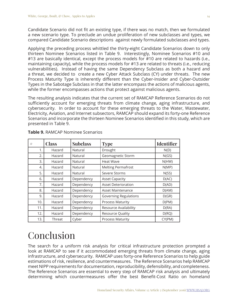Candidate Scenario did not fit an existing type, if there was no match, then we formulated a new scenario type. To preclude an undue proliferation of new subclasses and types, we compared Candidate Scenario descriptions against newly formulated subclasses and types.

Applying the preceding process whittled the thirty-eight Candidate Scenarios down to only thirteen Nominee Scenarios listed in Table 9. Interestingly, Nominee Scenarios #10 and #13 are basically identical, except the process models for #10 are related to hazards (i.e., maintaining capacity), while the process models for #13 are related to threats (i.e., reducing vulnerabilities). Instead of having the same Dependency Subclass as both a hazard and a threat, we decided to create a new Cyber Attack Subclass (CY) under threats. The new Process Maturity Type is inherently different than the Cyber-Insider and Cyber-Outsider Types in the Sabotage Subclass in that the latter encompass the actions of malicious agents, while the former encompasses actions that protect against malicious agents.

The resulting analysis indicates that the current set of RAMCAP Reference Scenarios do not sufficiently account for emerging threats from climate change, aging infrastructure, and cybersecurity. In order to account for these emerging threats to the Water, Wastewater, Electricity, Aviation, and Internet subsectors, RAMCAP should expand its forty-one Reference Scenarios and incorporate the thirteen Nominee Scenarios identified in this study, which are presented in Table 9.

| #   | <b>Class</b> | <b>Subclass</b> | <b>Type</b>                  | <b>Identifier</b> |
|-----|--------------|-----------------|------------------------------|-------------------|
| 1.  | Hazard       | Natural         | Drought                      | N(D)              |
| 2.  | Hazard       | Natural         | Geomagnetic Storm            | N(GS)             |
| 3.  | Hazard       | Natural         | <b>Heat Wave</b>             | N(HW)             |
| 4.  | Hazard       | Natural         | <b>Melting Permafrost</b>    | N(MP)             |
| 5.  | Hazard       | Natural         | Severe Storms                | N(SS)             |
| 6.  | Hazard       | Dependency      | <b>Asset Capacity</b>        | D(AC)             |
| 7.  | Hazard       | Dependency      | <b>Asset Deterioration</b>   | D(AD)             |
| 8.  | Hazard       | Dependency      | Asset Maintenance            | D(AM)             |
| 9.  | Hazard       | Dependency      | <b>Governing Regulations</b> | D(GR)             |
| 10. | Hazard       | Dependency      | <b>Process Maturity</b>      | D(PM)             |
| 11. | Hazard       | Dependency      | Resource Availability        | D(RA)             |
| 12. | Hazard       | Dependency      | Resource Quality             | D(RQ)             |
| 13. | Threat       | Cyber           | <b>Process Maturity</b>      | CY(PM)            |

**Table 9.** RAMCAP Nominee Scenarios

## Conclusion

The search for a uniform risk analysis for critical infrastructure protection prompted a look at RAMCAP to see if it accommodated emerging threats from climate change, aging infrastructure, and cybersecurity. RAMCAP uses forty-one Reference Scenarios to help guide estimations of risk, resilience, and countermeasures. The Reference Scenarios help RAMCAP meet NIPP requirements for documentation, reproducibility, defensibility, and completeness. The Reference Scenarios are essential to every step of RAMCAP risk analysis and ultimately determining which countermeasures offer the best Benefit-Cost Ratio on homeland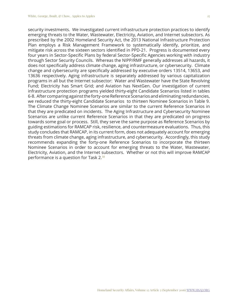security investments. We investigated current infrastructure protection practices to identify emerging threats to the Water, Wastewater, Electricity, Aviation, and Internet subsectors. As prescribed by the 2002 Homeland Security Act, the 2013 National Infrastructure Protection Plan employs a Risk Management Framework to systematically identify, prioritize, and mitigate risk across the sixteen sectors identified in PPD-21. Progress is documented every four years in Sector-Specific Plans by federal Sector-Specific Agencies working with industry through Sector Security Councils. Whereas the NIPP/RMF generally addresses all hazards, it does not specifically address climate change, aging infrastructure, or cybersecurity. Climate change and cybersecurity are specifically addressed by executive orders 13514, 13653, and 13636 respectively. Aging infrastructure is separately addressed by various capitalization programs in all but the Internet subsector: Water and Wastewater have the State Revolving Fund; Electricity has Smart Grid; and Aviation has NextGen. Our investigation of current infrastructure protection programs yielded thirty-eight Candidate Scenarios listed in tables 6-8. After comparing against the forty-one Reference Scenarios and eliminating redundancies, we reduced the thirty-eight Candidate Scenarios to thirteen Nominee Scenarios in Table 9. The Climate Change Nominee Scenarios are similar to the current Reference Scenarios in that they are predicated on incidents. The Aging Infrastructure and Cybersecurity Nominee Scenarios are unlike current Reference Scenarios in that they are predicated on progress towards some goal or process. Still, they serve the same purpose as Reference Scenarios by guiding estimations for RAMCAP risk, resilience, and countermeasure evaluations. Thus, this study concludes that RAMCAP, in its current form, does not adequately account for emerging threats from climate change, aging infrastructure, and cybersecurity. Accordingly, this study recommends expanding the forty-one Reference Scenarios to incorporate the thirteen Nominee Scenarios in order to account for emerging threats to the Water, Wastewater, Electricity, Aviation, and the Internet subsectors. Whether or not this will improve RAMCAP performance is a question for Task 2.[58](#page-18-8)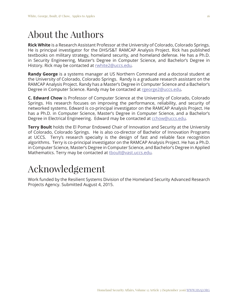## About the Authors

**Rick White** is a Research Assistant Professor at the University of Colorado, Colorado Springs. He is principal investigator for the DHS/S&T RAMCAP Analysis Project. Rick has published textbooks on military strategy, homeland security, and homeland defense. He has a Ph.D. in Security Engineering, Master's Degree in Computer Science, and Bachelor's Degree in History. Rick may be contacted at rwhite2@uccs.edu*.* 

**Randy George** is a systems manager at US Northern Command and a doctoral student at the University of Colorado, Colorado Springs. Randy is a graduate research assistant on the RAMCAP Analysis Project. Randy has a Master's Degree in Computer Science and a Bachelor's Degree in Computer Science. Randy may be contacted at rgeorge2@uccs.edu*.*

**C. Edward Chow** is Professor of Computer Science at the University of Colorado, Colorado Springs. His research focuses on improving the performance, reliability, and security of networked systems. Edward is co-principal investigator on the RAMCAP Analysis Project. He has a Ph.D. in Computer Science, Master's Degree in Computer Science, and a Bachelor's Degree in Electrical Engineering. Edward may be contacted at cchow@uccs.edu*.*

**Terry Boult** holds the El Pomar Endowed Chair of Innovation and Security at the University of Colorado, Colorado Springs. He is also co-director of Bachelor of Innovation Programs at UCCS. Terry's research specialty is the design of fast and reliable face recognition algorithms. Terry is co-principal investigator on the RAMCAP Analysis Project. He has a Ph.D. in Computer Science, Master's Degree in Computer Science, and Bachelor's Degree in Applied Mathematics. Terry may be contacted at tboult@vast.uccs.edu*.*

## Acknowledgement

Work funded by the Resilient Systems Division of the Homeland Security Advanced Research Projects Agency. Submitted August 4, 2015.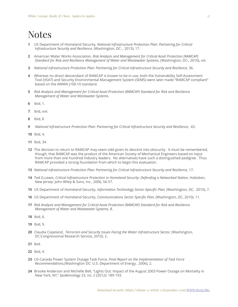## Notes

- <span id="page-16-0"></span>**1** US Department of Homeland Security, *National Infrastructure Protection Plan: Partnering for Critical Infrastructure Security and Resilience*, (Washington, DC: , 2013), 17.
- <span id="page-16-1"></span>**2** American Water Works Association, *Risk Analysis and Management for Critical Asset Protection (RAMCAP) Standard for Risk and Resilience Management of Water and Wastewater Systems*, (Washington, DC:, 2010), xiii.
- <span id="page-16-2"></span>**3** *National Infrastructure Protection Plan: Partnering for Critical Infrastructure Security and Resilience,* 36.
- <span id="page-16-3"></span>**4** Whereas no direct descendant of RAMCAP is known to be in use, both the Vulnerability Self-Assessment Tool (VSAT) and Security Environmental Management System (SEMS) were later made "RAMCAP compliant" based on the AWWA J100-10 standard.
- <span id="page-16-4"></span>**5** *Risk Analysis and Management for Critical Asset Protection (RAMCAP) Standard for Risk and Resilience Management of Water and Wastewater Systems.*
- <span id="page-16-5"></span>**6** Ibid, 1.
- <span id="page-16-6"></span>**7** Ibid, xvii.
- <span id="page-16-7"></span>**8** Ibid, 8
- <span id="page-16-8"></span>**9** *National Infrastructure Protection Plan: Partnering for Critical Infrastructure Security and Resilience,* 43.
- <span id="page-16-9"></span>**10** Ibid, 4.
- <span id="page-16-10"></span>**11** Ibid, 34.
- <span id="page-16-11"></span>**12** The decision to return to RAMCAP may seem odd given its descent into obscurity. It must be remembered, though, that RAMCAP was the product of the American Society of Mechanical Engineers based on input from more than one hundred industry leaders. No alternatives have such a distinguished pedigree. Thus RAMCAP provided a strong foundation from which to begin this evaluation.
- <span id="page-16-12"></span>**13** *National Infrastructure Protection Plan: Partnering for Critical Infrastructure Security and Resilience,* 17.
- <span id="page-16-13"></span>**14** Ted G.Lewis, *Critical Infrastructure Protection in Homeland Security: Defending a Networked Nation,* Hoboken, New Jersey: John Wiley & Sons, Inc., 2006, 56-57.
- <span id="page-16-14"></span>**15** US Department of Homeland Security, *Information Technology Sector-Specific Plan,* (Washington, DC, 2010), 7.
- <span id="page-16-15"></span>**16** US Department of Homeland Security, *Communications Sector Specific Plan,* (Washington, DC, 2010), 11.
- <span id="page-16-16"></span>**17** *Risk Analysis and Management for Critical Asset Protection (RAMCAP) Standard for Risk and Resilience Management of Water and Wastewater Systems*, 8.
- <span id="page-16-17"></span>**18** Ibid, 6.
- <span id="page-16-18"></span>**19** Ibid, 9.
- <span id="page-16-19"></span>**20** Claudia Copeland, *Terrorism and Security Issues Facing the Water Infrastructure Sector,* (Washington, DC:Congressional Research Service, 2010), 2.
- <span id="page-16-20"></span>**21** Ibid.
- <span id="page-16-21"></span>**22** Ibid, 4.
- <span id="page-16-22"></span>**23** US-Canada Power System Outage Task Force, *Final Report on the Implementation of Task Force Recommendations,*(Washington DC: U.S. Department of Energy, 2006), 2.
- <span id="page-16-23"></span>**24** Brooke Anderson and Michelle Bell, "Lights Out: Impact of the August 2003 Power Outage on Mortality in New York, NY," *Epidemiology* 23, no. 2 (2012): 189-193.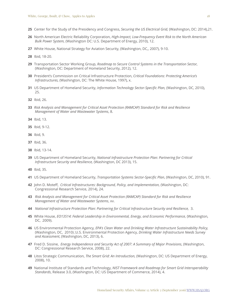- <span id="page-17-0"></span>Center for the Study of the Presidency and Congress, *Securing the US Electrical Grid,* (Washington, DC: 2014),21.
- <span id="page-17-1"></span> North American Electric Reliability Corporation, *High-Impact, Low-Frequency Event Risk to the North American Bulk Power System,* (Washington DC: U.S. Department of Energy, 2010), 12.
- <span id="page-17-2"></span>White House, National Strategy for Aviation Security, (Washington, DC,, 2007), 9-10.
- <span id="page-17-3"></span>Ibid, 18-20.
- <span id="page-17-4"></span> Transportation Sector Working Group, *Roadmap to Secure Control Systems in the Transportation Sector,* (Washington, DC: Department of Homeland Security, 2012), 12.
- <span id="page-17-5"></span> President's Commission on Critical Infrastructure Protection, *Critical Foundations: Protecting America's Infrastructures,* (Washington, DC: The White House, 1997), x.
- <span id="page-17-6"></span> US Department of Homeland Security, *Information Technology Sector-Specific Plan,* (Washington, DC, 2010), 25.
- <span id="page-17-7"></span>Ibid, 26.
- <span id="page-17-8"></span> *Risk Analysis and Management for Critical Asset Protection (RAMCAP) Standard for Risk and Resilience Management of Water and Wastewater Systems*, 8.
- <span id="page-17-9"></span>Ibid, 13.
- <span id="page-17-10"></span>Ibid, 9-12.
- <span id="page-17-11"></span>Ibid, 9.
- <span id="page-17-12"></span>Ibid, 36.
- <span id="page-17-13"></span>Ibid, 13-14.
- <span id="page-17-14"></span> US Department of Homeland Security, *National Infrastructure Protection Plan: Partnering for Critical Infrastructure Security and Resilience,* (Washington, DC 2013), 15.
- <span id="page-17-15"></span>Ibid, 35.
- <span id="page-17-16"></span>US Department of Homeland Security, *Transportation Systems Sector-Specific Plan*, (Washington, DC, 2010), 91.
- <span id="page-17-17"></span> John D. Moteff, *Critical Infrastructures: Background, Policy, and Implementation,* (Washington, DC: Congressional Research Service, 2014), 24.
- <span id="page-17-18"></span> *Risk Analysis and Management for Critical Asset Protection (RAMCAP) Standard for Risk and Resilience Management of Water and Wastewater Systems*, xv.
- <span id="page-17-19"></span>*National Infrastructure Protection Plan: Partnering for Critical Infrastructure Security and Resilience,* 3.
- <span id="page-17-20"></span> White House, *EO13514: Federal Leadership in Environmental, Energy, and Economic Performance,* (Washington, DC, 2009).
- <span id="page-17-21"></span> US Environmental Protection Agency*, EPA's Clean Water and Drinking Water Infrastructure Sustainability Policy,* (Washington, DC, 2010) ;U.S. Environmental Protection Agency, *Drinking Water Infrastructure Needs Survey and Assessment*, (Washington, DC, 2013), 6.
- <span id="page-17-22"></span> Fred D. Sissine, *Energy Independence and Security Act of 2007: A Summary of Major Provisions*, (Washington, DC: Congressional Research Service, 2008), 22.
- <span id="page-17-23"></span> Litos Strategic Communication, *The Smart Grid: An Introduction,* (Washington, DC: US Department of Energy, 2008), 10.
- <span id="page-17-24"></span> National Institute of Standards and Technology, *NIST Framework and Roadmap for Smart Grid Interoperability Standards*, Release 3.0, (Washington, DC: US Department of Commerce, 2014), 4.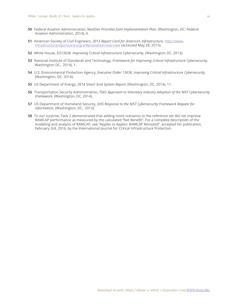- <span id="page-18-0"></span>**50** Federal Aviation Administration, *NextGen Priorities Joint Implementation Plan,* (Washington, DC: Federal Aviation Administration, 2014), 4.
- <span id="page-18-1"></span>**51** American Society of Civil Engineers, *2013 Report Card for America's Infrastructure,* http://www. infrastructurereportcard.org/a/#p/aviation/overview (accessed May 28, 2015).
- <span id="page-18-2"></span>**52** White House, *EO13636: Improving Critical Infrastructure Cybersecurity*, (Washington DC, 2013).
- <span id="page-18-3"></span>**53** National Institute of Standards and Technology, *Framework for Improving Critical Infrastructure Cybersecurity,* Washington DC, 2014), 1.
- <span id="page-18-4"></span>**54** U.S. Environmental Protection Agency, *Executive Order 13636, Improving Critical Infrastructure Cybersecurity,* (Washington, DC, 2014).
- <span id="page-18-5"></span>**55** US Department of Energy, *2014 Smart Grid System Report,* (Washington, DC, 2014), 11.
- <span id="page-18-6"></span>**56** Transportation Security Administration, *TSA's Approach to Voluntary Industry Adoption of the NIST Cybersecurity Framework,* (Washington, DC, 2014).
- <span id="page-18-7"></span>**57** US Department of Homeland Security, *DHS Response to the NIST Cybersecurity Framework Request for Information,* (Washington, DC, 2013).
- <span id="page-18-8"></span>**58** To our surprise, Task 2 demonstrated that adding more scenarios to the reference set did not improve RAMCAP performance as measured by the calculated "Net Benefit". For a complete description of the modeling and analysis of RAMCAP, see "Apples to Apples: RAMCAP Revisited", accepted for publication, February 3rd, 2016, by the International Journal for Critical Infrastructure Protection.